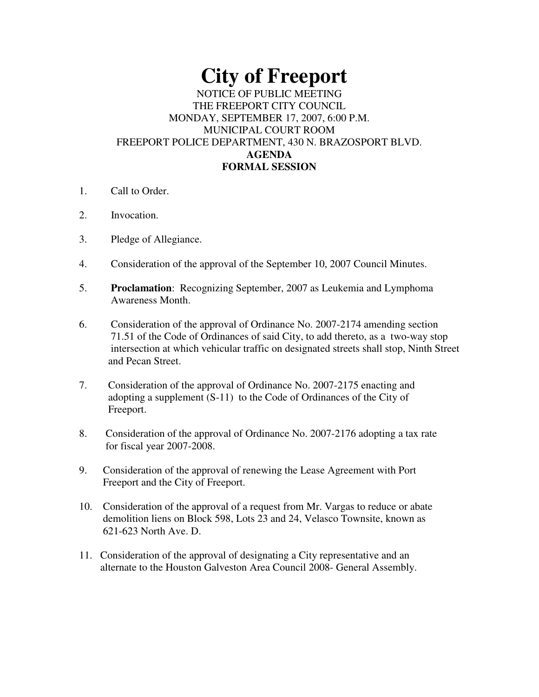## **City of Freeport**

## NOTICE OF PUBLIC MEETING THE FREEPORT CITY COUNCIL MONDAY, SEPTEMBER 17, 2007, 6:00 P.M. MUNICIPAL COURT ROOM FREEPORT POLICE DEPARTMENT, 430 N. BRAZOSPORT BLVD. **AGENDA FORMAL SESSION**

- 1. Call to Order.
- 2. Invocation.
- 3. Pledge of Allegiance.
- 4. Consideration of the approval of the September 10, 2007 Council Minutes.
- 5. **Proclamation**: Recognizing September, 2007 as Leukemia and Lymphoma Awareness Month.
- 6. Consideration of the approval of Ordinance No. 2007-2174 amending section 71.51 of the Code of Ordinances of said City, to add thereto, as a two-way stop intersection at which vehicular traffic on designated streets shall stop, Ninth Street and Pecan Street.
- 7. Consideration of the approval of Ordinance No. 2007-2175 enacting and adopting a supplement (S-11) to the Code of Ordinances of the City of Freeport.
- 8. Consideration of the approval of Ordinance No. 2007-2176 adopting a tax rate for fiscal year 2007-2008.
- 9. Consideration of the approval of renewing the Lease Agreement with Port Freeport and the City of Freeport.
- 10. Consideration of the approval of a request from Mr. Vargas to reduce or abate demolition liens on Block 598, Lots 23 and 24, Velasco Townsite, known as 621-623 North Ave. D.
- 11. Consideration of the approval of designating a City representative and an alternate to the Houston Galveston Area Council 2008- General Assembly.